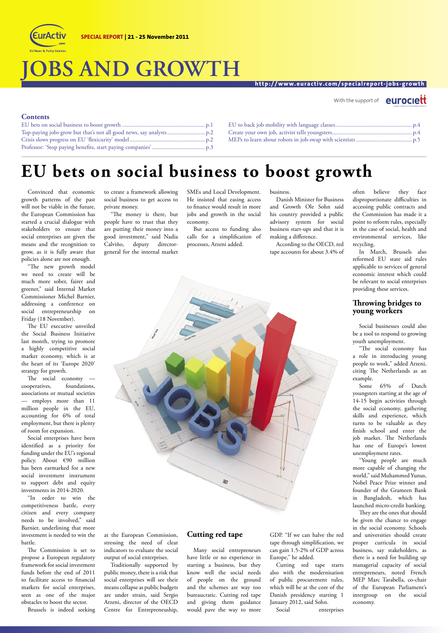

# **JOBS AND GROWTH**

#### **http://www.euractiv.com/specialreport-jobs-growth**

#### With the support of **euroclett**

#### **Contents**

### **EU bets on social business to boost growth**

Convinced that economic growth patterns of the past will not be viable in the future, the European Commission has started a crucial dialogue with stakeholders to ensure that social enterprises are given the means and the recognition to grow, as it is fully aware that policies alone are not enough.

"The new growth model we need to create will be much more sober, fairer and greener," said Internal Market Commissioner Michel Barnier, addressing a conference on social entrepreneurship on Friday (18 November).

The EU executive unveiled the Social Business Initiative last month, trying to promote a highly competitive social market economy, which is at the heart of its 'Europe 2020' strategy for growth.

The social economy cooperatives, foundations, associations or mutual societies employs more than 11 million people in the EU, accounting for 6% of total employment, but there is plenty of room for expansion.

Social enterprises have been identified as a priority for funding under the EU's regional policy. About €90 million has been earmarked for a new social investment instrument to support debt and equity investments in 2014-2020.

"In order to win the competitiveness battle, every citizen and every company needs to be involved," said Barnier, underlining that more investment is needed to win the battle.

The Commission is set to propose a European regulatory framework for social investment funds before the end of 2011 to facilitate access to financial markets for social enterprises, seen as one of the major obstacles to boost the sector.

Brussels is indeed seeking

to create a framework allowing social business to get access to private money.

"The money is there, but people have to trust that they are putting their money into a good investment," said Nadia Calviño, deputy directorgeneral for the internal market

SMEs and Local Development. He insisted that easing access to finance would result in more jobs and growth in the social economy.

But access to funding also calls for a simplification of processes, Arzeni added.

business.

Danish Minister for Business and Growth Ole Sohn said his country provided a public advisory system for social business start-ups and that it is making a difference.

According to the OECD, red tape accounts for about 3.4% of



at the European Commission, stressing the need of clear indicators to evaluate the social output of social enterprises.

Traditionally supported by public money, there is a risk that social enterprises will see their means collapse as public budgets are under strain, said Sergio Arzeni, director of the OECD Centre for Entrepreneuship,

#### **Cutting red tape**

Many social entrepreneurs have little or no experience in starting a business, but they know well the social needs of people on the ground and the schemes are way too bureaucratic. Cutting red tape and giving them guidance would pave the way to more

GDP. "If we can halve the red tape through simplification, we can gain 1.5-2% of GDP across Europe," he added.

Cutting red tape starts also with the modernisation of public procurement rules, which will be at the core of the Danish presidency starting 1 January 2012, said Sohn.

Social enterprises

often believe they face disproportionate difficulties in accessing public contracts and the Commission has made it a point to reform rules, especially in the case of social, health and environmental services, like recycling.

In March, Brussels also reformed EU state aid rules applicable to services of general economic interest which could be relevant to social enterprises providing these services.

#### **Throwing bridges to young workers**

Social businesses could also be a tool to respond to growing youth unemployment.

"The social economy has a role in introducing young people to work," added Arzeni, citing The Netherlands as an example.

Some 65% of Dutch youngsters starting at the age of 14-15 begin activities through the social economy, gathering skills and experience, which turns to be valuable as they finish school and enter the job market. The Netherlands has one of Europe's lowest unemployment rates.

"Young people are much more capable of changing the world," said Muhammed Yunus, Nobel Peace Prize winner and founder of the Grameen Bank in Bangladesh, which has launched micro-credit banking.

They are the ones that should be given the chance to engage in the social economy. Schools and universities should create proper curricula in social business, say stakeholders, as there is a need for building up managerial capacity of social entrepreneurs, noted French MEP Marc Tarabella, co-chair of the European Parliament's intergroup on the social economy.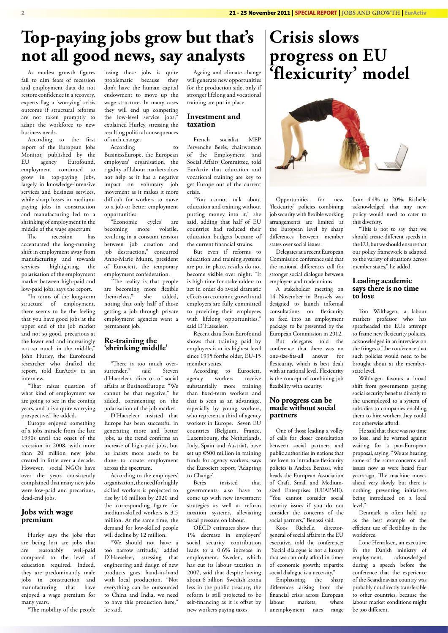### **Top-paying jobs grow but that's not all good news, say analysts**

As modest growth figures fail to dim fears of recession and employment data do not restore confidence in a recovery, experts flag a 'worrying' crisis outcome if structural reforms are not taken promptly to adapt the workforce to new business needs.

According to the first report of the European Jobs Monitor, published by the EU agency Eurofound, employment continued to grow in top-paying jobs, largely in knowledge-intensive services and business services, while sharp losses in mediumpaying jobs in construction and manufacturing led to a shrinking of employment in the middle of the wage spectrum.<br>The recession has

 $T_{\text{recession}}$ accentuated the long-running shift in employment away from manufacturing and towards services, highlighting the polarisation of the employment market between high-paid and low-paid jobs, says the report.

"In terms of the long-term structure of employment, there seems to be the feeling that you have good jobs at the upper end of the job market and not so good, precarious at the lower end and increasingly not so much in the middle," John Hurley, the Eurofound researcher who drafted the report, told EurActiv in an interview.

"That raises question of what kind of employment we are going to see in the coming years, and it is a quite worrying prospective," he added.

Europe enjoyed something of a jobs miracle from the late 1990s until the onset of the recession in 2008, with more than 20 million new jobs created in little over a decade. However, social NGOs have over the years consistently complained that many new jobs were low-paid and precarious, dead-end jobs.

#### **Jobs with wage premium**

Hurley says the jobs that are being lost are jobs that<br>are reasonably well-paid are reasonably compared to the level of education required. Indeed, they are predominantly male jobs in construction and manufacturing that have enjoyed a wage premium for many years.

"The mobility of the people

losing these jobs is quite problematic because they don't have the human capital endowment to move up the wage structure. In many cases they will end up competing the low-level service jobs, explained Hurley, stressing the resulting political consequences of such change.

According

BusinessEurope, the European employers' organisation, the rigidity of labour markets does not help as it has a negative impact on voluntary job movement as it makes it more difficult for workers to move to a job or better employment opportunities.

"Economic cycles are becoming more volatile, resulting in a constant tension between job creation and job destruction," concurred Anne-Marie Muntz, president of Eurociett, the temporary employment confederation.

"The reality is that people are becoming more flexible<br>themselves." she added. themselves," noting that only half of those getting a job through private employment agencies want a permanent job.

#### **Re-training the 'shrinking middle'**

"There is too much oversurrender," said Steven d'Haeseleer, director of social affairs at BusinessEurope. "We cannot be that negative," he added, commenting on the polarisation of the job market.

D'Haeseleer insisted that Europe has been successful in generating more and better jobs, as the trend confirms an increase of high-paid jobs, but he insists more needs to be done to create employment across the spectrum.

According to the employers' organisation, the need for highly skilled workers is projected to rise by 16 million by 2020 and the corresponding figure for medium-skilled workers is 3.5 million. At the same time, the demand for low-skilled people will decline by 12 million.

"We should not have a too narrow attitude," added D'Haeseleer, stressing that engineering and design of new products goes hand-in-hand with local production. "Not everything can be outsourced to China and India, we need to have this production here," he said.

Ageing and climate change will generate new opportunities for the production side, only if stronger lifelong and vocational training are put in place.

#### **Investment and taxation**

French socialist MEP Pervenche Berès, chairwoman of the Employment and Social Affairs Committee, told EurActiv that education and vocational training are key to get Europe out of the current crisis.

"You cannot talk about education and training without putting money into it," she said, adding that half of EU countries had reduced their education budgets because of the current financial strains.

But even if reforms to education and training systems are put in place, results do not become visible over night. "It is high time for stakeholders to act in order do avoid dramatic effects on economic growth and employers are fully committed to providing their employees with lifelong opportunities," said D'Haeseleer.

Recent data from Eurofound shows that training paid by employers is at its highest level since 1995 forthe older, EU-15 member states.

According to Eurociett, agency workers receive substantially more training than fixed-term workers and that is seen as an advantage, especially by young workers, who represent a third of agency workers in Europe. Seven EU countries (Belgium, France, Luxembourg, the Netherlands, Italy, Spain and Austria), have set up €500 million in training funds for agency workers, says the Eurociett report, 'Adapting to Change'.

Berès insisted that governments also have to come up with new investment strategies as well as reform taxation systems, alleviating fiscal pressure on labour.

OECD estimates show that 1% decrease in employers' social security contribution leads to a 0.6% increase in employment. Sweden, which has cut its labour taxation in 2007, said that despite having about 6 billion Swedish krona less in the public treasury, the reform is still projected to be self-financing as it is offset by new workers paying taxes.

### **Crisis slows progress on EU 'flexicurity' model**



Opportunities for new 'flexicurity' policies combining job security with flexible working arrangements are limited at the European level by sharp differences between member states over social issues.

Delegates at a recent European Commission conference said that the national differences call for stronger social dialogue between employers and trade unions.

A stakeholder meeting on 14 November in Brussels was designed to launch informal consultations on flexicurity to feed into an employment package to be presented by the European Commission in 2012.

But delegates told the conference that there was no one-size-fits-all answer for flexicurity, which is best dealt with at national level. Flexicurity is the concept of combining job flexibility with security.

#### **No progress can be made without social partners**

One of those leading a volley of calls for closer consultation between social partners and public authorities in nations that are keen to introduce flexicurity policies is Andrea Benassi, who heads the European Association of Craft, Small and Mediumsized Enterprises (UEAPME). "You cannot consider social security issues if you do not consider the concerns of the social partners," Benassi said.

Koos Richelle, directorgeneral of social affairs in the EU executive, told the conference: "Social dialogue is not a luxury that we can only afford in times of economic growth; tripartite social dialogue is a necessity."<br>Emphasising the sharp

Emphasising the differences arising from the financial crisis across European labour markets, where unemployment rates range from 4.4% to 20%, Richelle acknowledged that any new policy would need to cater to this diversity.

"This is not to say that we should create different speeds in the EU, but we should ensure that our policy framework is adapted to the variety of situations across member states," he added.

#### **Leading academic says there is no time to lose**

Ton Wilthagen, a labour markets professor who has spearheaded the EU's attempt to frame new flexicurity policies, acknowledged in an interview on the fringes of the conference that such policies would need to be brought about at the memberstate level.

Wilthagen favours a broad shift from governments paying social security benefits directly to the unemployed to a system of subsidies to companies enabling them to hire workers they could not otherwise afford.

He said that there was no time to lose, and he warned against waiting for a pan-European proposal, saying: "We are hearing some of the same concerns and issues now as were heard four years ago. The machine moves ahead very slowly, but there is nothing preventing initiatives being introduced on a local level."

Denmark is often held up as the best example of the efficient use of flexibility in the workforce.

Lone Henriksen, an executive in the Danish ministry of acknowledged during a speech before the conference that the experience of the Scandinavian country was probably not directly transferable to other countries, because the labour market conditions might be too different.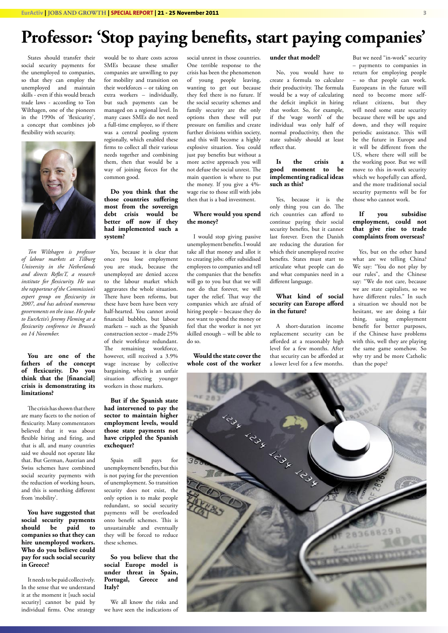### **Professor: 'Stop paying benefits, start paying companies'**

States should transfer their social security payments for the unemployed to companies, so that they can employ the unemployed and maintain skills - even if this would breach trade laws - according to Ton Wilthagen, one of the pioneers in the 1990s of 'flexicurity', a concept that combines job flexibility with security.



*Ton Wilthagen is professor of labour markets at Tilburg University in the Netherlands and directs ReflecT, a research institute for flexicurity. He was the rapporteur of the Commission's expert group on flexicurity in 2007, and has advised numerous governments on the issue. He spoke to EurActiv's Jeremy Fleming at a flexicurity conference in Brussels on 14 November.*

#### **You are one of the fathers of the concept of flexicurity. Do you think that the [financial] crisis is demonstrating its limitations?**

The crisis has shown that there are many facets to the notion of flexicurity. Many commentators believed that it was about flexible hiring and firing, and that is all, and many countries said we should not operate like that. But German, Austrian and Swiss schemes have combined social security payments with the reduction of working hours, and this is something different from 'mobility'.

**You have suggested that social security payments should be paid to companies so that they can hire unemployed workers. Who do you believe could pay for such social security in Greece?**

It needs to be paid collectively. In the sense that we understand it at the moment it [such social security] cannot be paid by individual firms. One strategy

would be to share costs across SMEs because these smaller companies are unwilling to pay for mobility and transition on their workforces – or taking on extra workers – individually, but such payments can be managed on a regional level. In many cases SMEs do not need a full-time employee, so if there was a central pooling system regionally, which enabled these firms to collect all their various needs together and combining them, then that would be a way of joining forces for the common good.

**Do you think that the those countries suffering most from the sovereign debt crisis would be better off now if they had implemented such a system?**

Yes, because it is clear that once you lose employment you are stuck, because the unemployed are denied access to the labour market which aggravates the whole situation. There have been reforms, but these have been have been very half-hearted. You cannot avoid financial bubbles, but labour markets – such as the Spanish construction sector – made 25% of their workforce redundant. The remaining workforce, however, still received a 3.9% wage increase by collective bargaining, which is an unfair situation affecting younger workers in those markets.

**But if the Spanish state had intervened to pay the sector to maintain higher employment levels, would those state payments not have crippled the Spanish exchequer?**

Spain still pays for unemployment benefits, but this is not paying for the prevention of unemployment. So transition security does not exist, the only option is to make people redundant, so social security payments will be overloaded onto benefit schemes. This is unsustainable and eventually they will be forced to reduce these schemes.

#### **So you believe that the social Europe model is under threat in Spain,**  Portugal, Greece and **Italy?**

We all know the risks and we have seen the indications of social unrest in those countries. One terrible response to the crisis has been the phenomenon of young people leaving, wanting to get out because they feel there is no future. If the social security schemes and family security are the only options then these will put pressure on families and create further divisions within society, and this will become a highly explosive situation. You could just pay benefits but without a more active approach you will not defuse the social unrest. The main question is where to put the money. If you give a 4% wage rise to those still with jobs then that is a bad investment.

#### **Where would you spend the money?**

I would stop giving passive unemployment benefits. I would take all that money and allot it to creating jobs: offer subsidised employees to companies and tell the companies that the benefits will go to you but that we will not do that forever, we will taper the relief. That way the companies which are afraid of hiring people – because they do not want to spend the money or feel that the worker is not yet skilled enough – will be able to do so.

#### **Would the state cover the whole cost of the worker**

#### **under that model?**

No, you would have to create a formula to calculate their productivity. The formula would be a way of calculating the deficit implicit in hiring that worker. So, for example, if the 'wage worth' of the individual was only half of normal productivity, then the state subsidy should at least reflect that.

#### **Is the crisis a good moment to be implementing radical ideas such as this?**

Yes, because it is the only thing you can do. The rich countries can afford to continue paying their social security benefits, but it cannot last forever. Even the Danish are reducing the duration for which their unemployed receive benefits. States must start to articulate what people can do and what companies need in a different language.

#### **What kind of social security can Europe afford in the future?**

A short-duration income replacement security can be afforded at a reasonably high level for a few months. After that security can be afforded at a lower level for a few months.

But we need "in-work" security – payments to companies in return for employing people – so that people can work. Europeans in the future will need to become more selfreliant citizens, but they will need some state security because there will be ups and down, and they will require periodic assistance. This will be the future in Europe and it will be different from the US, where there will still be the working poor. But we will move to this in-work security which we hopefully can afford, and the more traditional social security payments will be for those who cannot work.

#### **If you subsidise employment, could not that give rise to trade complaints from overseas?**

Yes, but on the other hand what are we telling China? We say: "You do not play by our rules", and the Chinese say: "We do not care, because we are state capitalists, so we have different rules." In such a situation we should not be hesitant, we are doing a fair thing, using employment benefit for better purposes, if the Chinese have problems with this, well they are playing the same game somehow. So why try and be more Catholic than the pope?

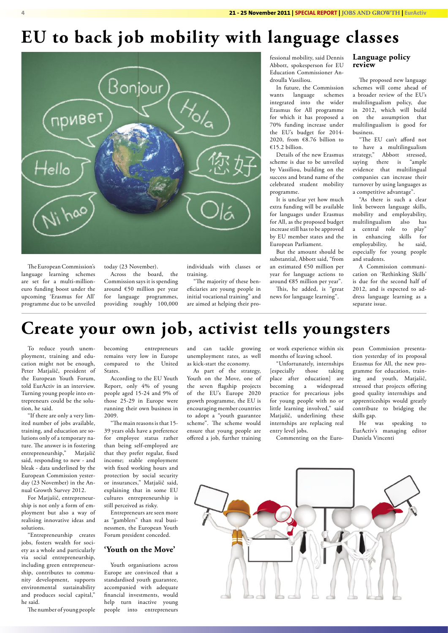### **EU to back job mobility with language classes**



The European Commission's language learning schemes are set for a multi-millioneuro funding boost under the upcoming 'Erasmus for All' programme due to be unveiled today (23 November).

Across the board, the Commission says it is spending around €50 million per year for language programmes, providing roughly 100,000

individuals with classes or training.

"The majority of these beneficiaries are young people in initial vocational training" and are aimed at helping their pro-

fessional mobility, said Dennis Abbott, spokesperson for EU Education Commissioner Androulla Vassiliou.

In future, the Commission wants language schemes integrated into the wider Erasmus for All programme for which it has proposed a 70% funding increase under the EU's budget for 2014- 2020, from  $\epsilon$ 8.76 billion to €15.2 billion.

Details of the new Erasmus scheme is due to be unveiled by Vassiliou, building on the success and brand name of the celebrated student mobility programme.

It is unclear yet how much extra funding will be available for languages under Erasmus for All, as the proposed budget increase still has to be approved by EU member states and the European Parliament.

But the amount should be substantial, Abbott said, "from an estimated €50 million per year for language actions to around €85 million per year".

This, he added, is "great news for language learning".

#### **Language policy review**

The proposed new language schemes will come ahead of a broader review of the EU's multilingualism policy, due in 2012, which will build on the assumption that multilingualism is good for business.

"The EU can't afford not to have a multilingualism strategy," Abbott stressed, saying there is "ample evidence that multilingual companies can increase their turnover by using languages as a competitive advantage".

"As there is such a clear link between language skills, mobility and employability, multilingualism also has a central role to play"<br>in enhancing skills for enhancing skills employability, he said, especially for young people and students.

A Commission communication on 'Rethinking Skills' is due for the second half of 2012, and is expected to address language learning as a separate issue.

## **Create your own job, activist tells youngsters**

To reduce youth unemployment, training and education might not be enough, Peter Matjašič, president of the European Youth Forum, told EurActiv in an interview. Turning young people into entrepreneurs could be the solution, he said.

"If there are only a very limited number of jobs available, training, and education are solutions only of a temporary nature. The answer is in fostering entrepreneurship," Matjašič said, responding to new - and bleak - data underlined by the European Commission yesterday (23 November) in the Annual Growth Survey 2012.

For Matjašič, entrepreneurship is not only a form of employment but also a way of realising innovative ideas and solutions.

"Entrepreneurship creates jobs, fosters wealth for society as a whole and particularly via social entrepreneurship, including green entrepreneurship, contributes to community development, supports environmental sustainability and produces social capital," he said.

The number of young people

becoming entrepreneurs remains very low in Europe compared to the United States.

According to the EU Youth Report, only 4% of young people aged 15-24 and 9% of those 25-29 in Europe were running their own business in 2009.

"The main reasons is that 15- 39 years olds have a preference for employee status rather than being self-employed are that they prefer regular, fixed income; stable employment with fixed working hours and protection by social security or insurances," Matjašič said, explaining that in some EU cultures entrepreneurship is still perceived as risky.

Entrepreneurs are seen more as "gamblers" than real businessmen, the European Youth Forum president conceded.

#### **'Youth on the Move'**

Youth organisations across Europe are convinced that a standardised youth guarantee, accompanied with adequate financial investments, would help turn inactive young people into entrepreneurs

and can tackle growing unemployment rates, as well as kick-start the economy.

As part of the strategy, Youth on the Move, one of the seven flagship projects of the EU's Europe 2020 growth programme, the EU is encouraging member countries to adopt a "youth guarantee scheme". The scheme would ensure that young people are offered a job, further training

or work experience within six months of leaving school.

"Unfortunately, internships [especially those taking place after education] are becoming a widespread practice for precarious jobs for young people with no or little learning involved," said Matjašič, underlining these internships are replacing real entry level jobs.

Commenting on the Euro-

pean Commission presentation yesterday of its proposal Erasmus for All, the new programme for education, training and youth, Matjašič, stressed that projects offering good quality internships and apprenticeships would greatly contribute to bridging the skills gap.

He was speaking to EurActiv's managing editor Daniela Vincenti